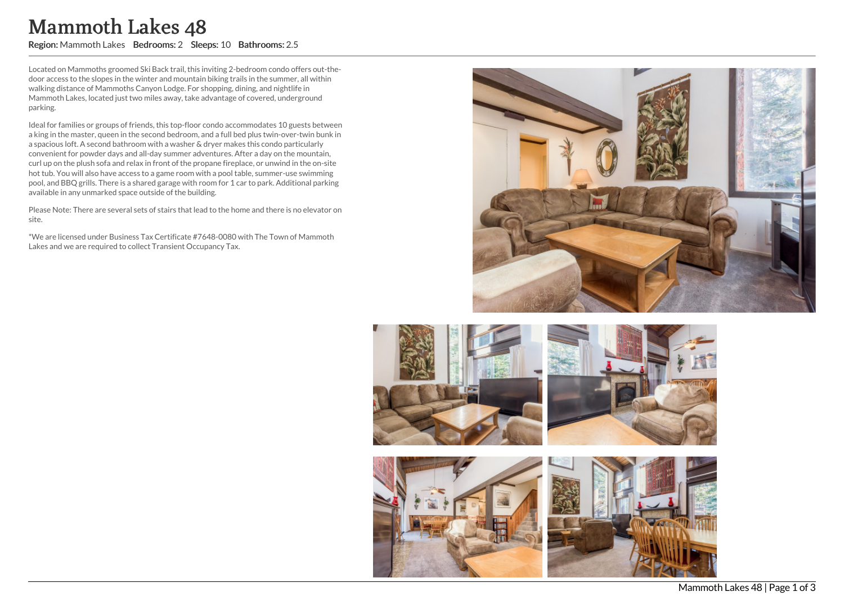## Mammoth Lakes 48

Region: Mammoth Lakes Bedrooms: 2 Sleeps: 10 Bathrooms: 2.5

Located on Mammoths groomed Ski Back trail, this inviting 2-bedroom condo offers out-thedoor access to the slopes in the winter and mountain biking trails in the summer, all within walking distance of Mammoths Canyon Lodge. For shopping, dining, and nightlife in Mammoth Lakes, located just two miles away, take advantage of covered, underground parking.

Ideal for families or groups of friends, this top-floor condo accommodates 10 guests between a king in the master, queen in the second bedroom, and a full bed plus twin-over-twin bunk in a spacious loft. A second bathroom with a washer & dryer makes this condo particularly convenient for powder days and all-day summer adventures. After a day on the mountain, curl up on the plush sofa and relax in front of the propane fireplace, or unwind in the on-site hot tub. You will also have access to a game room with a pool table, summer-use swimming pool, and BBQ grills. There is a shared garage with room for 1 car to park. Additional parking available in any unmarked space outside of the building.

Please Note: There are several sets of stairs that lead to the home and there is no elevator on site.

\*We are licensed under Business Tax Certificate #7648-0080 with The Town of Mammoth Lakes and we are required to collect Transient Occupancy Tax.



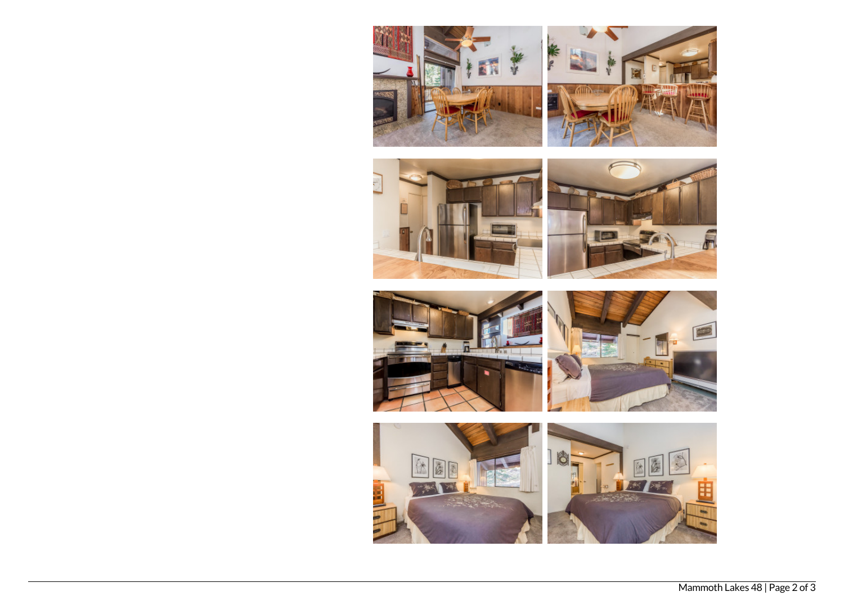